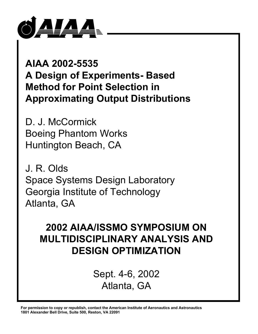

**AIAA 2002-5535 A Design of Experiments- Based Method for Point Selection in Approximating Output Distributions**

D. J. McCormick Boeing Phantom Works Huntington Beach, CA

J. R. Olds Space Systems Design Laboratory Georgia Institute of Technology Atlanta, GA

# **2002 AIAA/ISSMO SYMPOSIUM ON MULTIDISCIPLINARY ANALYSIS AND DESIGN OPTIMIZATION**

Sept. 4-6, 2002 Atlanta, GA

**For permission to copy or republish, contact the American Institute of Aeronautics and Astronautics 1801 Alexander Bell Drive, Suite 500, Reston, VA 22091**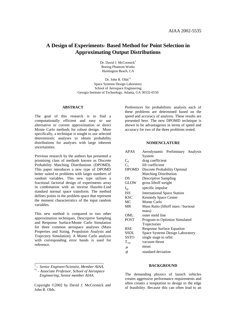# **A Design of Experiments- Based Method for Point Selection in Approximating Output Distributions**

Dr. David J. McCormick<sup>†</sup> Boeing Phantom Works Huntington Beach, CA

Dr. John R. Olds †† Space Systems Design Laboratory School of Aerospace Engineering Georgia Institute of Technology, Atlanta, GA 30332-0150

# **ABSTRACT**

The goal of this research is to find a computationally efficient and easy to use alternative to current approximation or direct Monte Carlo methods for robust design. More specifically, a technique is sought to use selected deterministic analyses to obtain probability distributions for analyses with large inherent uncertainties.

Previous research by the authors has presented a promising class of methods known as Discrete Probability Matching Distributions (DPOMD). This paper introduces a new type of DPOMD better suited to problems with larger numbers of random variables. This new type utilizes a fractional factorial design of experiments array in combination with an inverse Hasofer-Lind standard normal space transform. The method defines points in the problem space that represent the moment characteristics of the input random variables.

This new method is compared to two other approximation techniques, Descriptive Sampling and Response Surface/Monte Carlo Simulation for three common aerospace analyses (Mass Properties and Sizing, Propulsion Analysis and Trajectory Simulation). A Monte Carlo analysis with corresponding error bands is used for reference.

Preferences for probabilistic analysis each of these problems are determined based on the speed and accuracy of analysis. These results are presented here. The new DPOMD technique is shown to be advantageous in terms of speed and accuracy for two of the three problems tested.

# **NOMENCLATURE**

| <b>APAS</b>   | Aerodynamic Preliminary Analysis   |
|---------------|------------------------------------|
|               | System                             |
| $C_d$         | drag coefficient                   |
| $C_{L}$       | lift coefficient                   |
| DPOMD         | Discrete Probability Optimal       |
|               | <b>Matching Distribution</b>       |
| DS            | <b>Descriptive Sampling</b>        |
| <b>GLOW</b>   | gross liftoff weight               |
| $I_{sp}$      | specific impulse                   |
| <b>ISS</b>    | <b>International Space Station</b> |
| KSC           | <b>Kennedy Space Center</b>        |
| МC            | Monte Carlo                        |
| MR            | Mass Ratio (liftoff mass / burnout |
|               | mass)                              |
| OML           | outer mold line                    |
| POST          | Program to Optimize Simulated      |
|               | Trajectories                       |
| RSE           | <b>Response Surface Equation</b>   |
| SSDL          | Space Systems Design Laboratory    |
| <b>SSTO</b>   | single stage to orbit              |
| $T_{\rm vac}$ | vacuum thrust                      |
| $\mu$         | mean                               |
| σ             | standard deviation                 |
|               |                                    |

#### **BACKGROUND**

The demanding physics of launch vehicles creates aggressive performance requirements and often creates a temptation to design to the edge of feasibility. Because this can often lead to an

<sup>†</sup> *- Senior Engineer/Scientist, Member AIAA.*

<sup>†</sup> † *- Associate Professor, School of Aerospace Engineering, Senior member AIAA.*

Copyright ©2002 by David J. McCormick and John R. Olds.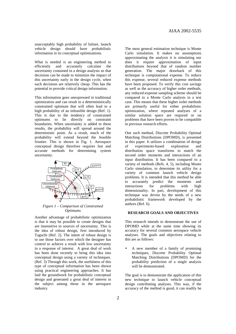unacceptably high probability of failure, launch vehicle design should have probabilistic information in its conceptual optimizations.

What is needed is an engineering method to efficiently and accurately calculate the uncertainty contained in a design analysis so that decisions can be made to minimize the impact of this uncertainty early in the design cycle, when such decisions are relatively cheap. This has the potential to provide critical design information.

This information goes unexpressed in traditional optimization and can result in a deterministically constrained optimum that will often lead to a high probability of an infeasible design (Ref. 1). This is due to the tendency of constrained optimums to lie directly on constraint boundaries. When uncertainty is added to these results, the probability will spread around the deterministic point. As a result, much of the probability will extend beyond the feasible frontier. This is shown in Fig. 1. Aerospace conceptual design therefore requires fast and accurate methods for determining system uncertainty.



*Figure 1 – Comparison of Constrained Optimums*

Another advantage of probabilistic optimization is that it may be possible to create designs that are insensitive to sources of uncertainty. This is the idea of robust design, first introduced by Taguchi (Ref. 2). The intent of robust design is to use those factors over which the designer has control to achieve a result with low uncertainty in a response of interest. A great deal of work has been done recently to bring this idea into conceptual design using a variety of techniques. (Ref. 3) Through this work, the usefulness of this type of conceptual information has been shown using practical engineering approaches. It has laid the groundwork for probabilistic conceptual design and generated a great deal of interest in the subject among those in the aerospace industry.

The most general estimation technique is Monte Carlo simulation. It makes no assumptions approximating the analysis it is simulating nor does it require approximation of input distributions beyond that of random number generation. The major drawback of this technique is computational expense. To reduce this expense, several reduced expense methods have been proposed. To verify this cost savings as well as the accuracy of higher order methods, any reduced-expense sampling scheme should be compared to a Monte Carlo analysis in a test case. This means that these higher order methods are primarily useful for either probabilistic optimization, where repeated analyses of a similar solution space are required or on problems that have been proven to be compatible in previous research efforts.

One such method, Discrete Probability Optimal Matching Distributions (DPOMD), is presented in this paper. It utilizes a combination of design of experiments-based exploration and distribution space transforms to match the second order moments and interactions of an input distribution. It has been compared to a variety of methods (Refs. 4, 5), including Monte Carlo simulation, to determine its utility for a variety of common launch vehicle design problems. It is intended that this method be able to accurately predict the moments and<br>interactions for problems with high interactions for problems with high dimensionality. In part, development of this technique was driven by the needs of a new probabilistic framework developed by the authors (Ref. 6).

# **RESEARCH GOALS AND OBJECTIVES**

This research intends to demonstrate the use of DPOMD while at the same time showing its accuracy for several common aerospace vehicle analyses. The goals and objectives relating to this are as follows:

• A new member of a family of promising techniques, Discrete Probability Optimal Matching Distributions (DPOMD) for the probability prediction of a single analysis will be demonstrated.

The goal is to demonstrate the application of this new technique to launch vehicle conceptual design contributing analyses. This way, if the accuracy of the method is good, it can readily be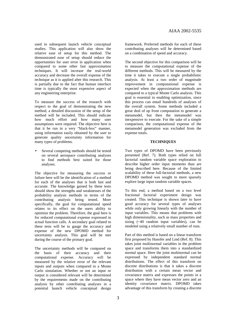used in subsequent launch vehicle conceptual studies. This application will also show the relative ease of setup for this method. The demonstrated ease of setup should reduce the opportunities for user error in application when compared to some other fast approximation techniques. It will increase the real-world accuracy and decrease the overall expense of the technique as it is applied after this research. This is partially due to the fact that human interface time is typically the most expensive aspect of any engineering enterprise.

To measure the success of the research with respect to the goal of demonstrating the new method, a detailed discussion of the setup of the method will be included. This should indicate how much effort and how many user assumptions were required. The objective here is that it be run in a very "black-box" manner, using information easily obtained by the user to generate quality uncertainty information for many types of problems.

Several competing methods should be tested on several aerospace contributing analyses to find methods best suited for those analyses.

The objective for measuring the success or failure here will be the identification of a method for each of the analyses that is both fast and accurate. The knowledge gained by these tests should show the strengths and weaknesses of the probability analysis methods in terms of the contributing analysis being tested. More specifically, the goal for computational speed relates to its effect on the users ability to optimize the problem. Therefore, the goal here is for reduced computational expense expressed in actual function calls. A secondary goal related to these tests will be to gauge the accuracy and expense of the new DPOMD method for uncertainty analysis. This goal will be met during the course of the primary goal.

The uncertainty methods will be compared on the basis of their accuracy and their computational expense. Accuracy will be measured by the relative error of the relevant inputs and outputs when compared to a Monte Carlo simulation. Whether or not an input or output is considered relevant will be determined by the requirements made on the contributing analysis by other contributing analyses in a potential launch vehicle conceptual design

framework. Preferred methods for each of these contributing analyses will be determined based on a combination of speed and accuracy.

The second objective for this comparison will be to measure the computational expense of the different methods. This will be measured by the time it takes to execute a single probabilistic analysis. At least a two order of magnitude improvement in computational expense is expected when the approximation methods are compared to a typical Monte Carlo analysis. This goal is essential to enabling optimization, since this process can entail hundreds of analyses of the overall system. Some methods included a great deal of up front computation to generate a metamodel, but then the metamodel was inexpensive to execute. For the sake of a simple comparison, the computational expense of the metamodel generation was excluded from the expense totals.

# **TECHNIQUES**

Two types of DPOMD have been previously presented (Ref. 7). Both types relied on full factorial random variable space exploration to describe higher order input moments than are being described here. Because of the limited scalability of these full-factorial methods, a new DPOMD method was sought to more sparsely explore large input random variable spaces.

To this end, a method based on a two level fractional factorial experiment design was created. This technique is shown later to have good accuracy for several types of analyses while only growing linearly with the number of input variables. This means that problems with high dimensionality, such as mass properties and sizing (~40 random input variables), can be modeled using a relatively small number of runs.

Part of this method is based on a linear transform first proposed by Hasofer and Lind (Ref. 8). This takes joint multinormal variables in the problem space and transforms them into a standardized normal space. Here the joint multinormal can be expressed by independent standard normal distributions. The effect of this transform on discrete distributions is that it takes a discrete distribution with a certain mean vector and covariance matrix and expresses the points in a space where they have mean vector zero and an identity covariance matrix. DPOMD takes advantage of this transform by creating a discrete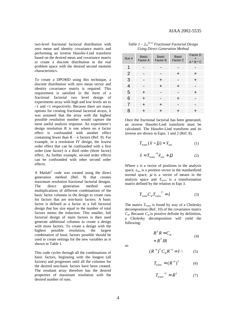two-level fractional factorial distribution with zero mean and identity covariance matrix and performing an inverse Hasofer-Lind transform based on the desired mean and covariance matrix to create a discrete distribution in the real problem space with the desired second moment characteristics.

To create a DPOMD using this technique, a discrete distribution with zero mean vector and identity covariance matrix is required. This requirement is satisfied in the form of a fractional factorial two level design of experiments array with high and low levels set to –1 and +1 respectively. Because there are many options for creating fractional factorial arrays, it was assumed that the array with the highest possible resolution number would capture the most useful analysis response. An experiment's design resolution R is one where no n factor effect is confounded with another effect containing fewer than  $R - n$  factors (Ref. 9). For example, in a resolution IV design, the lowest order effect that can be confounded with a first order (one factor) is a third order (three factor) effect. As further example, second order effects can be confounded with other second order effects.

A Matlab<sup>©</sup> code was created using the direct generation method (Ref. 9) that creates maximum resolution fractional factorial designs. The direct generation method uses multiplications of different combinations of the basic factor columns in the design to create runs for factors that are non-basic factors. A basic factor is defined as a factor in a full factorial design that has size equal to the number of total factors minus the reduction. This smaller, full factorial design of main factors is then used generate additional columns to create a design with more factors. To create a design with the highest possible resolution, the largest combination of basic factors possible should be used to create settings for the new variables as is shown in Table 1.

This code cycles through all the combinations of basic factors, beginning with the longest (all factors) and progresses until all the columns for the desired non-basic factors have been created. The resultant array therefore has the desired properties of maximum resolution with the desired number of runs.

| Run#           | <b>Basic</b><br>Factor A | <b>Basic</b><br><b>Factor B</b> | <b>Basic</b><br>Factor C | Factor D<br>$A * B * C$ |
|----------------|--------------------------|---------------------------------|--------------------------|-------------------------|
| 1              |                          |                                 |                          |                         |
| 2              |                          |                                 | +                        | $\div$                  |
| 3              |                          | $\div$                          | -                        | $\div$                  |
| $\overline{4}$ |                          | $\div$                          | $\div$                   |                         |
| 5              | ÷                        |                                 |                          | +                       |
| 6              | $\div$                   | -                               | $\div$                   | -                       |
| 7              | $\div$                   | $\ddot{}$                       | -                        |                         |
| 8              |                          | ┿                               |                          |                         |

|  | Table $I - 2_{I}^{(4-1)}$ Fractional Factorial Design |  |
|--|-------------------------------------------------------|--|
|  | Using Direct Generation Method                        |  |

Once the fractional factorial has been generated, an inverse Hasofer-Lind transform must be calculated. The Hasofer-Lind transform and its inverse are shown in Eqns. 1 and 2 (Ref. 8).

$$
T_{trans}(\overline{x} - \overline{\mu}) = \overline{x}_{sns} \tag{1}
$$

$$
\overline{x} = T_{trans}^{-1} \overline{x}_{sns} + \overline{\mu}
$$
 (2)

Where  $x$  is a vector of positions in the analysis space, *xsns* is a position vector in the standardized normal space,  $\mu$  is a vector of means in the analysis space and *Ttrans* is a transformation matrix defined by the relation in Eqn 3.

$$
T_{trans}C_{\sigma}T_{trans}^T = I \tag{3}
$$

The matrix *Ttrans* is found by way of a Cholesky decomposition (Ref. 10) of the covariance matrix  $C_{\sigma}$ . Because  $C_{\sigma}$  is positive definite by definition, a Cholesky decomposition will yield the following:

$$
R^T R = C_{\sigma}
$$
  
=  $R^T I R$  (4)

$$
(R^{-1})^T C_{\sigma} R^{-1} = I \quad (5)
$$

$$
T_{trans} = (R^{-1})^T \tag{6}
$$

$$
T_{trans}^{\quad -1} = R^T \tag{7}
$$

so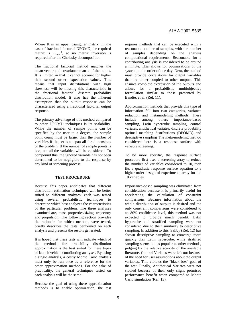Where R is an upper triangular matrix. In the case of fractional factorial DPOMD, the required matrix is  $T_{trans}^{-1}$ , so no matrix inversion is required after the Cholesky decomposition.

The fractional factorial method matches the mean vector and covariance matrix of the inputs. It is limited in that it cannot account for higher than second order expectation values. This means that input distributions with high skewness will be missing this characteristic in the fractional factorial discrete probability distribution model. It also has the inherent assumption that the output response can be characterized using a fractional factorial output response.

The primary advantage of this method compared to other DPOMD techniques is its scalability. While the number of sample points can be specified by the user to a degree, the sample point count must be larger than the number of variables if the set is to span all the dimensions of the problem. If the number of sample points is less, not all the variables will be considered. To compound this, the ignored variable has not been determined to be negligible to the response by any kind of screening process.

# **TEST PROCEDURE**

Because this paper anticipates that different distribution estimation techniques will be better suited to different analyses, each was tested using several probabilistic techniques to determine which best analyzes the characteristics of the particular problem. The three analyses examined are, mass properties/sizing, trajectory and propulsion. The following section provides the rationale for which methods were tested, briefly describes the tests performed on each analysis and presents the results generated.

It is hoped that these tests will indicate which of the methods for probability distribution approximation is the best suited for these types of launch vehicle contributing analyses. By using a single analysis, a costly Monte Carlo analysis must only be run once as a reference for the other approximation methods. For the sake of practicality, the general techniques tested on each analysis will be the same.

Because the goal of using these approximation methods is to enable optimization, the test

requires methods that can be executed with a reasonable number of samples, with the number of samples depending on the analysis computational requirements. Reasonable for a contributing analysis is considered to be around a minute. This allows for optimizations of the system on the order of one day. Next, the method must provide correlations for output variables that are either coupled to other outputs. This ensures complete expression of the outputs and allows for a probabilistic multiobjective formulation similar to those presented by Bandte, et al. (Ref. 11).

Approximation methods that provide this type of information fall into two categories, variance reduction and metamodeling methods. These include among others importance-based sampling, Latin hypercube sampling, control variates, antithetical variates, discrete probability optimal matching distributions (DPOMD) and descriptive sampling The meta-modeling method considered here is a response surface with variable screening.

To be more specific, the response surface procedure first uses a screening array to reduce the number of variables considered to 10, then fits a quadratic response surface equation to a higher order design of experiments array for the 10 variables.

Importance-based sampling was eliminated from consideration because it is primarily useful for accelerating the calculation of constraint comparisons. Because information about the whole distribution of outputs is desired and the only constraint comparisons were considered to an 80% confidence level, this method was not expected to provide much benefit. Latin hypercube and stratified sampling were not considered due to their similarity to descriptive sampling. In addition to this, Saliby (Ref. 12) has shown descriptive sampling to converge more quickly than Latin hypercube, while stratified sampling seems not as popular as other methods, judging by the relative scarcity of the available literature. Control Variates were left out because of the need for user assumptions about the output variables. This violates the "black box" goal of the test. Finally, Antithetical Variates were not studied because of their only slight promised performance benefit when compared to Monte Carlo simulation (Ref. 13).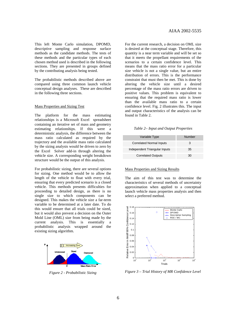This left Monte Carlo simulation, DPOMD, descriptive sampling and response surface methods as the candidate methods. The tests of these methods and the particular types of each chosen method used is described in the following sections. They are presented in groups defined by the contributing analysis being tested.

The probabilistic methods described above are compared using three common launch vehicle conceptual design analyses. These are described in the following three sections.

# Mass Properties and Sizing Test

The platform for the mass estimating relationships is a Microsoft Excel<sup>©</sup> spreadsheet containing an iterative set of mass and geometry estimating relationships. If this were a deterministic analysis, the difference between the mass ratio calculated as required by the trajectory and the available mass ratio calculated by the sizing analysis would be driven to zero by the Excel<sup>®</sup> Solver add-in through altering the vehicle size. A corresponding weight breakdown structure would be the output of this analysis.

For probabilistic sizing, there are several options for sizing. One method would be to allow the length of the vehicle to float with every trial, ensuring that every predicted scenario is a closed vehicle. This methods presents difficulties for proceeding to detailed design, as there is no single size to which components can be designed. This makes the vehicle size a far-term variable to be determined at a later date. To do this would ensure that all trials could be sized, but it would also prevent a decision on the Outer Mold Line (OML) size from being made by the current analysis. This is essentially a probabilistic analysis wrapped around the existing sizing algorithm.



*Figure 2 - Probabilistic Sizing*

For the current research, a decision on OML size is desired at the conceptual stage. Therefore, this quantity is a near term variable and will be set so that it meets the propellant requirements of the scenarios to a certain confidence level. This means that the mass ratio error for a particular size vehicle is not a single value, but an entire distribution of errors. This is the performance constraint that must then be met. This is done by altering the vehicle size until a desired percentage of the mass ratio errors are driven to positive values. This problem is equivalent to ensuring that the required mass ratio is lower than the available mass ratio to a certain confidence level. Fig. 2 illustrates this. The input and output characteristics of the analysis can be found in Table 2.

#### *Table 2– Input and Output Properties*

| Variable Type                   | Number |
|---------------------------------|--------|
| <b>Correlated Normal Inputs</b> | З      |
| Independent Triangular Inputs   | 35     |
| <b>Correlated Outputs</b>       | 30     |

#### Mass Properties and Sizing Results

The aim of this test was to determine the characteristics of several methods of uncertainty approximation when applied to a conceptual launch vehicle mass properties analysis and then select a preferred method.



*Figure 3 – Trial History of MR Confidence Level*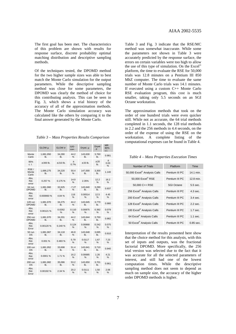The first goal has been met. The characteristics of this problem are shown with results for response surface, discrete probability optimal matching distribution and descriptive sampling methods.

Of the techniques tested, the DPOMD method for the two higher sample sizes was able to best match the Monte Carlo simulation for the output parameters. While the descriptive sampling method was close for some parameters, the DPOMD was clearly the method of choice for this contributing analysis. This can be seen in Fig. 3, which shows a trial history of the accuracy of all of the approximation methods. The Monte Carlo simulation accuracy was calculated like the others by comparing it to the final answer generated by the Monte Carlo.

*Table 3 –Mass Properties Results Comparison*

|                         | GLOW µ           | $GLOW \sigma$ | G/D<br>corr.             | Drywt. µ       | Drywt<br>. σ          | <b>MR</b><br>80%<br>c.l. |
|-------------------------|------------------|---------------|--------------------------|----------------|-----------------------|--------------------------|
| Monte<br>Carlo          | 1,681,950<br>lb. | 34,280<br>lb. | 44.2<br>%                | 143,630<br>lb. | 3.760<br>lb.          | 0.981                    |
| 95%<br>c. I.            | $± 300$ lb.      | $+210$ lb.    | $\pm$<br>0.7%            | $+33$ lb.      | ±20<br>lb.            | Ŧ.<br>0.03<br>℅          |
| RSE /<br>Monte<br>Carlo | 1,686,275<br>lb. | 34,220<br>lb. | 50.4<br>%                | 147,000<br>lb. | 3.300<br>lb.          | 1.140                    |
| Abs.<br>Rel.<br>error   | 0.257%           | 0.175%        | 14.0<br>$\frac{0}{2}$    | 2.35%          | 12.2<br>%             | 16.2<br>%                |
| 64 run<br><b>DPOMD</b>  | 1,681,960<br>lb. | 32,625<br>lb. | $-7.27$<br>$\frac{0}{n}$ | 143,640<br>lb. | 3,290<br>lb.          | 0.937                    |
| Abs.<br>Rel.<br>error   | 0.000860 %       | 4.84 %        | 116<br>%                 | 0.00514<br>%   | 12.5<br>%             | 4.45<br>%                |
| 128 run<br><b>DPOMD</b> | 1,681,970<br>lb. | 34.275<br>lb. | 44.2<br>%                | 143.645<br>lb. | 3.770<br>lb.          | 0.980                    |
| Abs.<br>Rel.<br>error   | 0.00121%         | 0.0262<br>%   | 0.110<br>%               | 0.00875<br>%   | 0.392<br>%            | 0.079<br>%               |
| 256 run<br><b>DPOMD</b> | 1,681,970<br>lb. | 34,201<br>lb. | 44.2<br>%                | 143,644<br>lb. | 3,750<br>lb.          | 0.982                    |
| Abs.<br>Rel.<br>Error   | 0.00120 %        | 0.240 %       | 0.124<br>%               | 0.00868<br>%   | 0.242<br>%            | 0.075<br>%               |
| 50 run<br>DS            | 1,681,967<br>lb. | 34,118<br>lb. | 46.8<br>%                | 143.648<br>lb. | 3,695<br>lb.          | 0.910                    |
| Abs.<br>Rel.<br>error   | 0.001%           | 0.483%        | 5.79<br>%                | 0.0117<br>%    | 1.67<br>$\frac{1}{2}$ | 7.23<br>%                |
| 100 run<br>DS           | 1,681,952<br>lb. | 33,698<br>lb. | 51.4<br>$\frac{0}{2}$    | 143,641<br>lb. | 3.710<br>lb.          | 0.940                    |
| Abs.<br>Rel.<br>error   | 0.0001%          | 1.71%         | 16.2<br>%                | 0.00685<br>%   | 1.26<br>%             | 4.21<br>%                |
| 200 run<br>DS           | 1,681,982<br>lb. | 35,086<br>lb. | 53.2<br>%                | 143.650<br>lb. | 3.701<br>lb.          | 0.961                    |
| Abs.<br>Rel.<br>Error   | 0.00192%         | 2.34 %        | 20.2<br>%                | 0.0111<br>%    | 1.50<br>%             | 2.06<br>%                |

Table 3 and Fig. 3 indicate that the RSE/MC method was somewhat inaccurate. While some the parameters not shown in Table 3 were accurately predicted by the response surface, the errors on certain variables were too high to allow the use of this type of simulation. On the  $\text{Excel}^{\odot}$ platform, the time to evaluate the RSE for 50,000 trials was 12.8 minutes on a Pentium III 850 MhZ computer. The time to evaluate the same number of Monte Carlo trials was 14.1 minutes. If executed using a custom C++ Monte Carlo RSE evaluation program, this cost is much smaller, taking only 5.5 seconds on an SGI Octane workstation.

The approximation methods that took on the order of one hundred trials were even quicker still. While not as accurate, the 64 trial methods completed in 1.1 seconds, the 128 trial methods in 2.2 and the 256 methods in 4.4 seconds, on the order of the expense of using the RSE on the workstation. A complete listing of the computational expenses can be found in Table 4.

#### *Table 4 –Mass Properties Execution Times*

| Number of Trials                         | Platform          | Time        |
|------------------------------------------|-------------------|-------------|
| 50,000 Excel <sup>®</sup> Analysis Calls | Pentium III PC    | $14.1$ min  |
| 50,000 Excel <sup>®</sup> RSE            | Pentium III PC    | 12.8 min.   |
| 50,000 C++ RSE                           | <b>SGI Octane</b> | $5.5$ sec.  |
| 256 Excel <sup>®</sup> Analysis Calls    | Pentium III PC    | $4.3$ sec.  |
| 200 Excel <sup>®</sup> Analysis Calls    | Pentium III PC    | $3.4$ sec.  |
| 128 Excel <sup>®</sup> Analysis Calls    | Pentium III PC    | $2.2$ sec.  |
| 100 Excel <sup>®</sup> Analysis Calls    | Pentium III PC    | $17$ sec.   |
| 64 Excel <sup>®</sup> Analysis Calls     | Pentium III PC    | $1.1$ sec.  |
| 50 Excel <sup>®</sup> Analysis Calls     | Pentium III PC    | $0.85$ sec. |
|                                          |                   |             |

Interpretation of the results presented here show that the choice method for this analysis, with this set of inputs and outputs, was the fractional factorial DPOMD. More specifically, the 256 trial version was selected due to the fact that it was accurate for all the selected parameters of interest, and still had one of the lowest computation times. While the descriptive sampling method does not seem to depend as much on sample size, the accuracy of the higher order DPOMD methods is higher.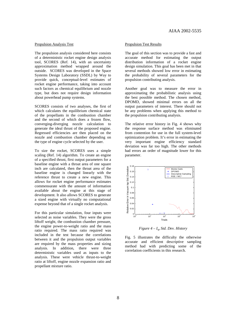#### Propulsion Analysis Test

The propulsion analysis considered here consists of a deterministic rocket engine design analysis tool, SCORES (Ref. 14), with an uncertainty approximation method wrapped around the outside. SCORES was developed in the Space Systems Design Laboratory (SSDL) by Way to provide quick, conceptual-level estimates of rocket engine performance, taking into account such factors as chemical equilibrium and nozzle type, but does not require design information about powerhead pump systems.

SCORES consists of two analyses, the first of which calculates the equilibrium chemical state of the propellants in the combustion chamber and the second of which does a frozen flow, converging-diverging nozzle calculation to generate the ideal thrust of the proposed engine. Regressed efficiencies are then placed on the nozzle and combustion chamber depending on the type of engine cycle selected by the user.

To size the rocket, SCORES uses a simple scaling (Ref. 14) algorithm. To create an engine of a specified thrust, first output parameters for a baseline engine with a throat area of one square inch are calculated, then the throat area of the baseline engine is changed linearly with the reference thrust to create a new engine. This allows for rocket engine performance estimates commensurate with the amount of information available about the engine at this stage of development. It also allows SCORES to generate a sized engine with virtually no computational expense beyond that of a single rocket analysis.

For this particular simulation, four inputs were selected as noise variables. They were the gross liftoff weight, the combustion chamber pressure, the engine power-to-weight ratio and the mass ratio required. The mass ratio required was included in the test because the correlations between it and the propulsion output variables are required by the mass properties and sizing analysis. In addition, there were three deterministic variables used as inputs to the analysis. These were vehicle thrust-to-weight ratio at liftoff, engine nozzle expansion ratio and propellant mixture ratio.

#### Propulsion Test Results

The goal of this section was to provide a fast and accurate method for estimating the output distribution information of a rocket engine design simulation. This goal has been met in that several methods showed low error in estimating the probability of several parameters for the propulsion contributing analysis.

Another goal was to measure the error in approximating the probabilistic analysis using the best possible method. The chosen method, DPOMD, showed minimal errors on all the output parameters of interest. There should not be any problems when applying this method to the propulsion contributing analysis.

The relative error history in Fig. 4 shows why the response surface method was eliminated from contention for use in the full system-level optimization problem. It's error in estimating the very important engine efficiency standard deviation was far too high. The other methods had errors an order of magnitude lower for this parameter.



*Figure 4 –Isp Std. Dev. History*

Fig. 5 illustrates the difficulty the otherwise accurate and efficient descriptive sampling method had with predicting some of the correlation coefficients in this research.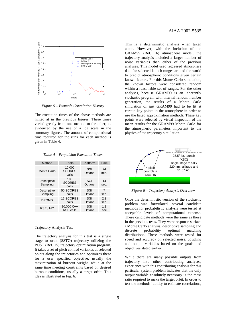

*Figure 5 –Example Correlation History*

The execution times of the above methods are hinted at in the previous figures. These times varied greatly from one method to the other, as evidenced by the use of a log scale in the summary figures. The amount of computational time required for the runs for each method is given in Table 4.

| Method                  | Trials                           | Platform      | Time        |
|-------------------------|----------------------------------|---------------|-------------|
| Monte Carlo             | 10,000<br><b>SCORES</b><br>calls | SGI<br>Octane | 24<br>min.  |
| Descriptive<br>Sampling | 100<br><b>SCORES</b><br>calls    | SGI<br>Octane | 14<br>sec.  |
| Descriptive<br>Sampling | 50 SCORES<br>calls               | SGI<br>Octane | 7<br>sec.   |
| <b>DPOMD</b>            | 16 SCORES<br>calls               | SGI<br>Octane | 2.3<br>sec. |
| RSE / MC                | $10.000 C++$<br><b>RSE</b> calls | SGI<br>Octane | 1.1<br>sec  |

*Table 4 –Propulsion Execution Times*

# Trajectory Analysis Test

The trajectory analysis for this test is a single stage to orbit (SSTO) trajectory utilizing the POST (Ref. 15) trajectory optimization program. It takes a set of pitch control variables at selected points along the trajectories and optimizes these for a user specified objective, usually the maximization of burnout weight, while at the same time meeting constraints based on desired burnout conditions, usually a target orbit. This idea is illustrated in Fig. 6.

This is a deterministic analysis when taken alone. However, with the inclusion of the GRAM99 (Ref. 16) atmosphere model, the trajectory analysis included a larger number of noise variables than either of the previous analyses. This model used regressed atmosphere data for selected launch ranges around the world to predict atmospheric conditions given certain known factors. For this Monte Carlo simulation, the known factors were considered random within a reasonable set of ranges. For the other analyses, because GRAM99 is an inherently stochastic program with internal random number generation, the results of a Monte Carlo simulation of just GRAM99 had to be fit at certain key points in the atmosphere in order to use the listed approximation methods. These key points were selected by visual inspection of the mean results for the GRAM99 Monte Carlo for the atmospheric parameters important to the physics of the trajectory simulation.



*Figure 6 –Trajectory Analysis Overview*

Once the deterministic version of the stochastic problem was formulated, several candidate methods for probabilistic analysis were tested at acceptable levels of computational expense. These candidate methods were the same as those in the previous tests. They were response surface / Monte Carlo analysis, descriptive sampling and discrete probability optimal matching distributions. These methods were tested for speed and accuracy on selected noise, coupling and output variables based on the goals and objectives stated earlier.

While there are many possible outputs from trajectory into other contributing analyses, experience with this contributing analysis for this particular system problem indicates that the only output variable absolutely necessary is the mass ratio required to make the target orbit. In order to test the methods' ability to estimate correlations,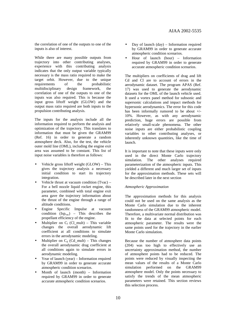the correlation of one of the outputs to one of the inputs is also of interest.

While there are many possible outputs from trajectory into other contributing analyses, experience with this contributing analysis indicates that the only output variable typically necessary is the mass ratio required to make the target orbit. However, due to the unique requirements of the probabilistic multidisciplinary design framework, the correlation of one of the outputs to one of the inputs was also required. This is because the input gross liftoff weight (GLOW) and the output mass ratio required are both inputs to the propulsion contributing analysis.

The inputs for the analysis include all the information required to perform the analysis and optimization of the trajectory. This translates to information that must be given the GRAM99 (Ref. 16) in order to generate a random atmosphere deck. Also, for the test, the vehicle outer mold line (OML), including the engine exit area was assumed to be constant. This list of input noise variables is therefore as follows:

- Vehicle gross liftoff weight  $(GLOW)$  This gives the trajectory analysis a necessary initial condition to start its trajectory integration.
- Vehicle thrust at vacuum condition (Tvac) For a bell nozzle liquid rocket engine, this parameter, combined with total engine exit area gave the trajectory information about the thrust of the engine through a range of altitude conditions.
- Engine Specific Impulse at vacuum condition  $(Isp_{\text{vac}})$  – This describes the propellant efficiency of the engine.
- Multiplier on  $C_1$  (Cl mult) This variable changes the overall aerodynamic lift coefficient at all conditions to simulate errors in the aerodynamic modeling.
- Multiplier on  $C_d$  (Cd\_mult) This changes the overall aerodynamic drag coefficient at all conditions again to simulate errors in aerodynamic modeling.
- Year of launch (year) Information required by GRAM99 in order to generate accurate atmospheric condition scenarios.
- Month of launch (month) Information required by GRAM99 in order to generate accurate atmospheric condition scenarios.
- Day of launch  $\text{day}$  Information required by GRAM99 in order to generate accurate atmospheric condition scenarios.
- Hour of launch (hour) Information required by GRAM99 in order to generate accurate atmospheric condition scenarios.

The multipliers on coefficients of drag and lift Cd and Cl are to account of errors in the aerodynamic dataset. The program APAS (Ref. 17) was used to generate the aerodynamic datasets for the OML of the launch vehicle used. It used a vortex panel method for subsonic and supersonic calculations and impact methods for hypersonic aerodynamics. The error for this code has been informally rumored to be about  $+/-$ 10%. However, as with any aerodynamic prediction, huge errors are possible from relatively small-scale phenomena. The other noise inputs are either probabilistic coupling variables to other contributing analyses, or inherently unknown quantities, like the time of launch.

It is important to note that these inputs were only used in the direct Monte Carlo trajectory simulation. The other analyses required parameterization of the atmospheric inputs. This yielded a different and much larger set of inputs for the approximation methods. These sets will be described later in the next section

# *Atmospheric Approximation*

The approximation methods for this analysis could not be used on the same analysis as the Monte Carlo simulation due to the inherent randomness of the GRAM99 atmospheric model. Therefore, a multivariate normal distribution was fit to the data at selected points for each atmospheric parameter. The results were the same points used for the trajectory in the earlier Monte Carlo simulation.

Because the number of atmosphere data points (204) was too high to effectively use an uncertainty approximation method, the number of atmosphere points had to be reduced. The points were reduced by visually inspecting the mean values of the results of a Monte Carlo simulation performed on the GRAM99 atmosphere model. Only the points necessary to satisfy the trends of the mean atmospheric parameters were retained. This section reviews this selection process.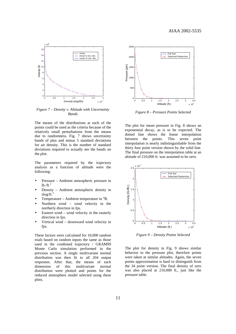

*Figure 7 –Density v. Altitude with Uncertainty Bands*

The means of the distributions at each of the points could be used as the criteria because of the relatively small perturbations from the means due to randomness. Fig. 7 shows uncertainty bands of plus and minus 5 standard deviations for air density. This is the number of standard deviations required to actually see the bands on the plot.

The parameters required by the trajectory analysis as a function of altitude were the following:

- Pressure Ambient atmospheric pressure in  $lb$ ./ft.<sup>2</sup>
- Density Ambient atmospheric density in slug/ft.<sup>3</sup>
- Temperature Ambient temperature in  ${}^{\circ}R$ .
- Northern wind wind velocity in the northerly direction in fps.
- Eastern wind wind velocity in the easterly direction in fps.
- Vertical wind downward wind velocity in fps.

These factors were calculated for 10,000 random trials based on random inputs the same as those used in the combined trajectory / GRAM99 Monte Carlo simulation performed in the previous section. A single multivariate normal distribution was then fit to all 204 output responses. After that, the means of each dimension of this multivariate normal distribution were plotted and points for the reduced atmosphere model selected using these plots.



*Figure 8 –Pressure Points Selected*

The plot for mean pressure in Fig. 8 shows an exponential decay, as is to be expected. The dotted line shows the linear interpolation between the points. This seven point interpolation is nearly indistinguishable from the thirty four point version shown by the solid line. The final pressure on the interpolation table at an altitude of 210,000 ft. was assumed to be zero.



*Figure 9 –Density Points Selected*

The plot for density in Fig. 9 shows similar behavior to the pressure plot, therefore points were taken at similar altitudes. Again, the seven points approximation is hard to distinguish from the 34 point version. The final density of zero was also placed at 210,000 ft., just like the pressure table.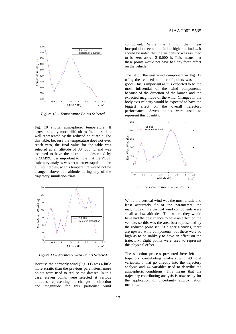

*Figure 10 –Temperature Points Selected*

Fig. 10 shows atmospheric temperature. It proved slightly more difficult to fit, but still is well represented by the reduced point table. For this table, because the temperature does not ever reach zero, the final value for the table was selected at an altitude of 304,000 ft. and was assumed to have the distribution described by GRAM99. It is important to note that the POST trajectory analysis was set to no extrapolation for all input tables, so this temperature would not be changed above this altitude during any of the trajectory simulation trials.



*Figure 11 –Northerly Wind Points Selected*

Because the northerly wind (Fig. 11) was a little more erratic than the previous parameters, more points were used to reduce the dataset. In this case, eleven points were selected at various altitudes, representing the changes in direction and magnitude for this particular wind

component. While the fit of the linear interpolation seemed to fail at higher altitudes, it should be noted that the air density was assumed to be zero above 210,000 ft. This means that these points would not have had any force effect on the vehicle.

The fit on the east wind component in Fig. 12 using the reduced number of points was quite good. This is important as it is expected to be the most influential of the wind components, because of the direction of the launch and the expected magnitude of the wind. Changes in the body axis velocity would be expected to have the biggest effect on the overall trajectory performance. Seven points were used to represent this quantity.



*Figure 12 –Easterly Wind Points*

While the vertical wind was the most erratic and least accurately fit of the parameters, the magnitude of the vertical wind components were small at low altitudes. This where they would have had the best chance to have an effect on the vehicle, so this was the area best represented by the reduced point set. At higher altitudes, there are upward wind components, but these were so high as to be unlikely to have an effect on the trajectory. Eight points were used to represent this physical effect.

The selection process presented here left the trajectory contributing analysis with 49 total variables, 5 that go directly into the trajectory analysis and 44 variables used to describe the atmospheric conditions. This means that the trajectory contributing analysis is now ready for the application of uncertainty approximation methods.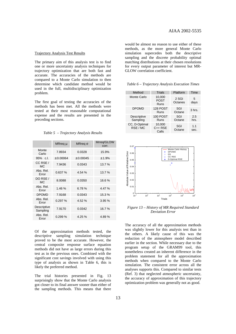#### Trajectory Analysis Test Results

The primary aim of this analysis test is to find one or more uncertainty analysis techniques for trajectory optimization that are both fast and accurate. The accuracies of the methods are compared to a Monte Carlo simulation to then determine which candidate method would be used in the full, multidisciplinary optimization problem.

The first goal of testing the accuracies of the methods has been met. All the methods were tested at their most reasonable computational expense and the results are presented in the preceding sections.

*Table 5 –Trajectory Analysis Results*

|                                | MRreq $\mu$ | MRreq $\sigma$ | Mrreg/GLOW<br>corr. |
|--------------------------------|-------------|----------------|---------------------|
| Monte<br>Carlo                 | 7.8934      | 0.0328         | 15.9%               |
| 95% c.l.                       | ± 0.00064   | ± 0.00045      | ± 1.9%              |
| CC RSE /<br><b>MC</b>          | 7.9436      | 0.0343         | 13.7%               |
| Abs. Rel.<br>Error             | 0.637%      | 4.54 %         | 13.7%               |
| DO RSE /<br><b>MC</b>          | 8.0088      | 0.0350         | 16.6%               |
| Abs. Rel.<br>Error             | 1.46%       | 6.78%          | 4.47 %              |
| <b>DPOMD</b>                   | 7.9168      | 0.0343         | 15.3%               |
| Abs. Rel.<br>Error             | 0.297%      | 4.52 %         | 3.95%               |
| <b>Descriptive</b><br>Sampling | 7.9170      | 0.0342         | 16.7%               |
| Abs. Rel.<br>Error             | 0.299%      | 4.25%          | 4.89%               |

Of the approximation methods tested, the descriptive sampling simulation technique proved to be the most accurate. However, the central composite response surface equation methods did not have as large errors during this test as in the previous ones. Combined with the significant cost savings involved with using this type of analysis as shown in Table 6, this is likely the preferred method.

The trial histories presented in Fig. 13 surprisingly show that the Monte Carlo analysis got closer to its final answer sooner than either of the sampling methods. This means that there

would be almost no reason to use either of these methods, as the more general Monte Carlo simulation supercedes both the descriptive sampling and the discrete probability optimal matching distributions at their chosen resolutions for every output parameter of interest but MR-GLOW correlation coefficient.

| Table 6 - Trajectory Analysis Execution Times |  |  |
|-----------------------------------------------|--|--|
|                                               |  |  |

| Method                    | <b>Trials</b>                 | Platform         | Time        |
|---------------------------|-------------------------------|------------------|-------------|
| <b>Monte Carlo</b>        | 10,000<br><b>POST</b><br>Runs | 2 SGI<br>Octanes | 5<br>days   |
| <b>DPOMD</b>              | 128 POST<br>Runs              | SGI<br>Octane    | 3 hrs.      |
| Descriptive<br>Sampling   | <b>100 POST</b><br>Runs       | SGI<br>Octane    | 2.5<br>hrs. |
| CC, D-Optimal<br>RSE / MC | 10,000<br>$C++RSE$<br>Calls   | SGI<br>Octane    | 1.1<br>sec. |



*Figure 13 –History of MR Required Standard Deviation Error*

The accuracy of all the approximation methods was slightly lower for this analysis test than in the others. A likely cause of this was the reduction of the atmosphere model described earlier in the section. While necessary due to the program setup of the GRAM99 tool, this nonetheless created an inherent difference in the problem statement for all the approximation methods when compared to the Monte Carlo simulation. The consistent error across all the analyses supports this. Compared to similar tests (Ref. 3) that neglected atmospheric uncertainty, the accuracy of approximation of this trajectory optimization problem was generally not as good.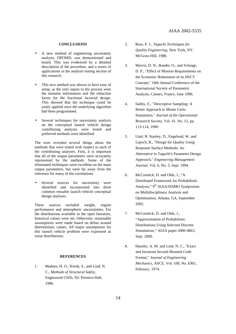#### **CONCLUSIONS**

- A new method of engineering uncertainty analysis, DPOMD, was demonstrated and tested. This was evidenced by a detailed description of the procedure, and a series of applications in the analysis testing section of this research.
- This new method was shown to have ease of setup, as the only inputs to the process were the moment information and the reduction factor for the fractional factorial design. This showed that the technique could be easily applied once the underlying algorithm had been programmed.
- Several techniques for uncertainty analysis on the conceptual launch vehicle design contributing analyses were tested and preferred methods were identified.

The tests revealed several things about the methods that were tested with respect to each of the contributing analyses. First, it is important that all of the output parameters were accurately represented by the methods. Some of the eliminated techniques were excellent on the main output parameters, but were far away from the reference for many of the correlations.

Several sources for uncertainty were identified and incorporated into three common reusable launch vehicle conceptual design analyses.

These sources included weight, engine performance and atmospheric uncertainties. For the distributions available in the open literature, historical values were set. Otherwise, reasonable assumptions were made based on deltas around deterministic values. All major assumptions for this launch vehicle problem were expressed as noise distributions.

# **REFERENCES**

1. Madsen, H. O., Krenk, S., and Lind, N. C., *Methods of Structural Safety*, Englewood Cliffs, NJ: Prentice-Hall, 1986.

- 2. Ross, P. J., *Taguchi Techniques for Quality Engineering*, New York, NY: McGraw-Hill, 1988.
- 3. Mavris, D. N., Bandte, O., and Schrage, D. P., "Effect of Mission Requirements on the Economic Robustness of an HSCT Concept," 18th Annual Conference of the International Society of Parametric Analysts, Cannes, France, June 1996.
- 4. Saliby, E., "Descriptive Sampling: A Better Approach to Monte Carlo Simulation," *Journal of the Operational Research Society*, Vol. 41, No. 12, pp. 113-114, 1990.
- 5. Unal, R. Stanley, D., Engelund, W. and Lepsch, R., "Design for Quality Using Response Surface Methods: An Alternative to Taguchi's Parameter Design Approach," *Engineering Management Journal*, Vol. 6, No. 3, Sept. 1994.
- 6. McCormick, D. and Olds, J., "A Distributed Framework for Probabilistic Analysis," 9<sup>th</sup> AIAA/ISSMO Symposium on Multidisciplinary Analysis and Optimization, Atlanta, GA, September 2002.
- 7. McCormick, D. and Olds, J., "Approximation of Probabilistic Distributions Using Selected Discrete Simulations," AIAA paper 2000-4863, Sept. 2000.
- 8. Hasofer, A. M. and Lind, N. C., "Exact and Invariant Second Moment Code Format," *Journal of Engineering Mechanics*, ASCE, Vol. 100, No. EM1, February, 1974.